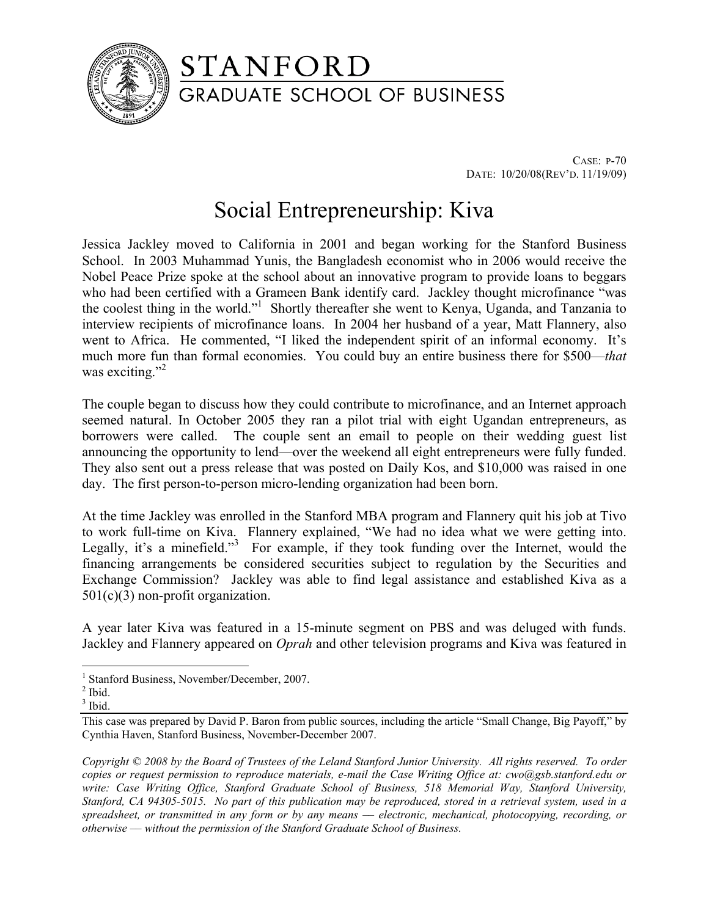

## STANFORD **GRADUATE SCHOOL OF BUSINESS**

CASE: P-70 DATE: 10/20/08(REV'D. 11/19/09)

## Social Entrepreneurship: Kiva

Jessica Jackley moved to California in 2001 and began working for the Stanford Business School. In 2003 Muhammad Yunis, the Bangladesh economist who in 2006 would receive the Nobel Peace Prize spoke at the school about an innovative program to provide loans to beggars who had been certified with a Grameen Bank identify card. Jackley thought microfinance "was the coolest thing in the world."<sup>1</sup> Shortly thereafter she went to Kenya, Uganda, and Tanzania to interview recipients of microfinance loans. In 2004 her husband of a year, Matt Flannery, also went to Africa. He commented, "I liked the independent spirit of an informal economy. It's much more fun than formal economies. You could buy an entire business there for \$500—*that* was exciting." $^{2}$ 

The couple began to discuss how they could contribute to microfinance, and an Internet approach seemed natural. In October 2005 they ran a pilot trial with eight Ugandan entrepreneurs, as borrowers were called. The couple sent an email to people on their wedding guest list announcing the opportunity to lend—over the weekend all eight entrepreneurs were fully funded. They also sent out a press release that was posted on Daily Kos, and \$10,000 was raised in one day. The first person-to-person micro-lending organization had been born.

At the time Jackley was enrolled in the Stanford MBA program and Flannery quit his job at Tivo to work full-time on Kiva. Flannery explained, "We had no idea what we were getting into. Legally, it's a minefield."<sup>3</sup> For example, if they took funding over the Internet, would the financing arrangements be considered securities subject to regulation by the Securities and Exchange Commission? Jackley was able to find legal assistance and established Kiva as a 501(c)(3) non-profit organization.

A year later Kiva was featured in a 15-minute segment on PBS and was deluged with funds. Jackley and Flannery appeared on *Oprah* and other television programs and Kiva was featured in

 $\overline{a}$ 

*Copyright © 2008 by the Board of Trustees of the Leland Stanford Junior University. All rights reserved. To order copies or request permission to reproduce materials, e-mail the Case Writing Office at: cwo@gsb.stanford.edu or write: Case Writing Office, Stanford Graduate School of Business, 518 Memorial Way, Stanford University, Stanford, CA 94305-5015. No part of this publication may be reproduced, stored in a retrieval system, used in a spreadsheet, or transmitted in any form or by any means –– electronic, mechanical, photocopying, recording, or otherwise –– without the permission of the Stanford Graduate School of Business.* 

<sup>&</sup>lt;sup>1</sup> Stanford Business, November/December, 2007.

 $<sup>2</sup>$  Ibid.</sup>

 $3$  Ibid.

This case was prepared by David P. Baron from public sources, including the article "Small Change, Big Payoff," by Cynthia Haven, Stanford Business, November-December 2007.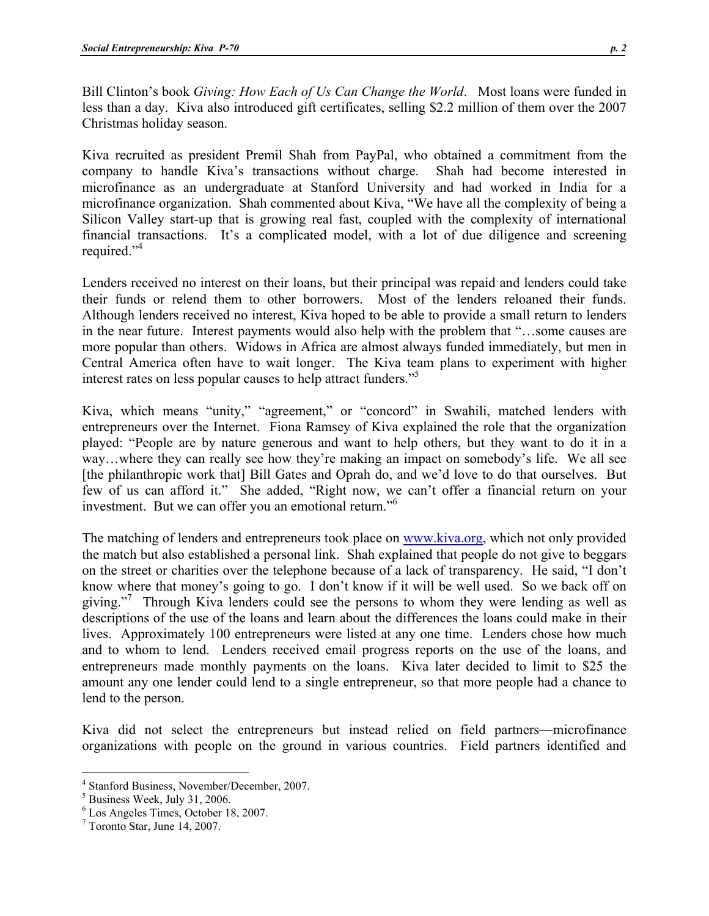Bill Clinton's book *Giving: How Each of Us Can Change the World*. Most loans were funded in less than a day. Kiva also introduced gift certificates, selling \$2.2 million of them over the 2007 Christmas holiday season.

Kiva recruited as president Premil Shah from PayPal, who obtained a commitment from the company to handle Kiva's transactions without charge. Shah had become interested in microfinance as an undergraduate at Stanford University and had worked in India for a microfinance organization. Shah commented about Kiva, "We have all the complexity of being a Silicon Valley start-up that is growing real fast, coupled with the complexity of international financial transactions. It's a complicated model, with a lot of due diligence and screening required."<sup>4</sup>

Lenders received no interest on their loans, but their principal was repaid and lenders could take their funds or relend them to other borrowers. Most of the lenders reloaned their funds. Although lenders received no interest, Kiva hoped to be able to provide a small return to lenders in the near future. Interest payments would also help with the problem that "…some causes are more popular than others. Widows in Africa are almost always funded immediately, but men in Central America often have to wait longer. The Kiva team plans to experiment with higher interest rates on less popular causes to help attract funders."<sup>5</sup>

Kiva, which means "unity," "agreement," or "concord" in Swahili, matched lenders with entrepreneurs over the Internet. Fiona Ramsey of Kiva explained the role that the organization played: "People are by nature generous and want to help others, but they want to do it in a way…where they can really see how they're making an impact on somebody's life. We all see [the philanthropic work that] Bill Gates and Oprah do, and we'd love to do that ourselves. But few of us can afford it." She added, "Right now, we can't offer a financial return on your investment. But we can offer you an emotional return."6

The matching of lenders and entrepreneurs took place on www.kiva.org, which not only provided the match but also established a personal link. Shah explained that people do not give to beggars on the street or charities over the telephone because of a lack of transparency. He said, "I don't know where that money's going to go. I don't know if it will be well used. So we back off on giving."<sup>7</sup> Through Kiva lenders could see the persons to whom they were lending as well as descriptions of the use of the loans and learn about the differences the loans could make in their lives. Approximately 100 entrepreneurs were listed at any one time. Lenders chose how much and to whom to lend. Lenders received email progress reports on the use of the loans, and entrepreneurs made monthly payments on the loans. Kiva later decided to limit to \$25 the amount any one lender could lend to a single entrepreneur, so that more people had a chance to lend to the person.

Kiva did not select the entrepreneurs but instead relied on field partners—microfinance organizations with people on the ground in various countries. Field partners identified and

 $\overline{a}$ 

<sup>4</sup> Stanford Business, November/December, 2007.

<sup>5</sup> Business Week, July 31, 2006.

<sup>6</sup> Los Angeles Times, October 18, 2007.

<sup>7</sup> Toronto Star, June 14, 2007.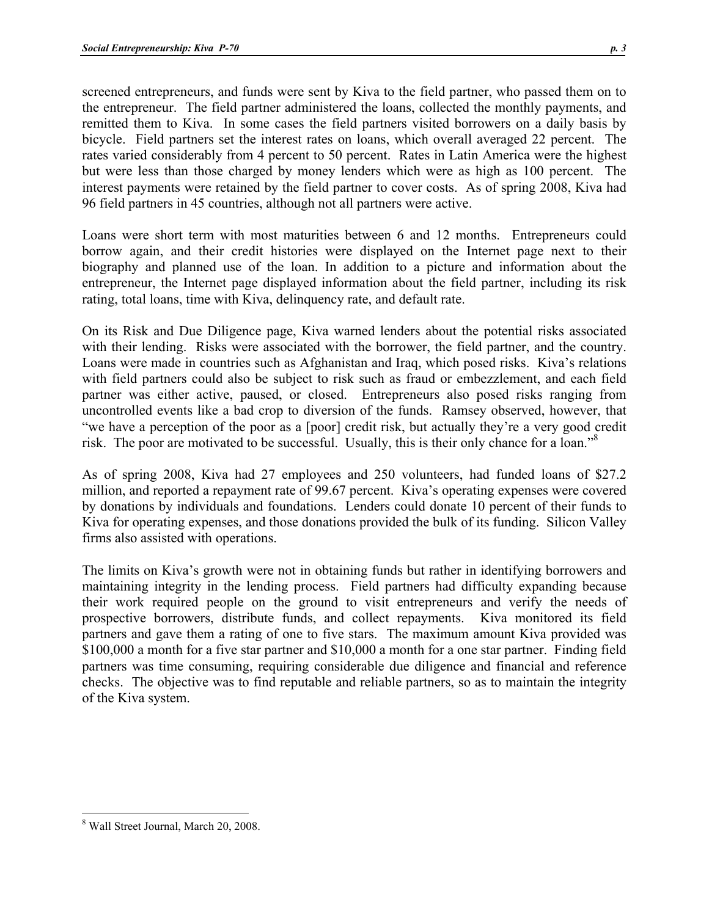screened entrepreneurs, and funds were sent by Kiva to the field partner, who passed them on to the entrepreneur. The field partner administered the loans, collected the monthly payments, and remitted them to Kiva. In some cases the field partners visited borrowers on a daily basis by bicycle. Field partners set the interest rates on loans, which overall averaged 22 percent. The rates varied considerably from 4 percent to 50 percent. Rates in Latin America were the highest but were less than those charged by money lenders which were as high as 100 percent. The interest payments were retained by the field partner to cover costs. As of spring 2008, Kiva had 96 field partners in 45 countries, although not all partners were active.

Loans were short term with most maturities between 6 and 12 months. Entrepreneurs could borrow again, and their credit histories were displayed on the Internet page next to their biography and planned use of the loan. In addition to a picture and information about the entrepreneur, the Internet page displayed information about the field partner, including its risk rating, total loans, time with Kiva, delinquency rate, and default rate.

On its Risk and Due Diligence page, Kiva warned lenders about the potential risks associated with their lending. Risks were associated with the borrower, the field partner, and the country. Loans were made in countries such as Afghanistan and Iraq, which posed risks. Kiva's relations with field partners could also be subject to risk such as fraud or embezzlement, and each field partner was either active, paused, or closed. Entrepreneurs also posed risks ranging from uncontrolled events like a bad crop to diversion of the funds. Ramsey observed, however, that "we have a perception of the poor as a [poor] credit risk, but actually they're a very good credit risk. The poor are motivated to be successful. Usually, this is their only chance for a loan."<sup>8</sup>

As of spring 2008, Kiva had 27 employees and 250 volunteers, had funded loans of \$27.2 million, and reported a repayment rate of 99.67 percent. Kiva's operating expenses were covered by donations by individuals and foundations. Lenders could donate 10 percent of their funds to Kiva for operating expenses, and those donations provided the bulk of its funding. Silicon Valley firms also assisted with operations.

The limits on Kiva's growth were not in obtaining funds but rather in identifying borrowers and maintaining integrity in the lending process. Field partners had difficulty expanding because their work required people on the ground to visit entrepreneurs and verify the needs of prospective borrowers, distribute funds, and collect repayments. Kiva monitored its field partners and gave them a rating of one to five stars. The maximum amount Kiva provided was \$100,000 a month for a five star partner and \$10,000 a month for a one star partner. Finding field partners was time consuming, requiring considerable due diligence and financial and reference checks. The objective was to find reputable and reliable partners, so as to maintain the integrity of the Kiva system.

 $\overline{a}$ 8 Wall Street Journal, March 20, 2008.